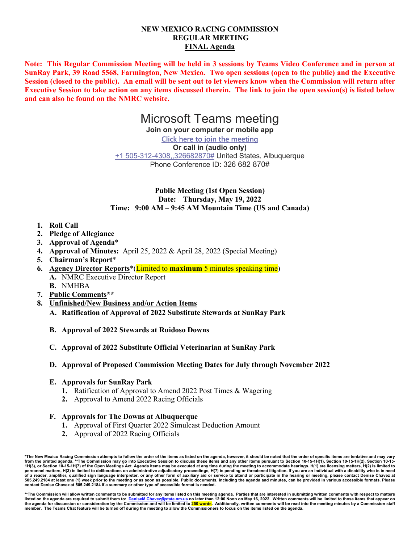## **NEW MEXICO RACING COMMISSION REGULAR MEETING FINAL Agenda**

**Note: This Regular Commission Meeting will be held in 3 sessions by Teams Video Conference and in person at SunRay Park, 39 Road 5568, Farmington, New Mexico. Two open sessions (open to the public) and the Executive Session (closed to the public). An email will be sent out to let viewers know when the Commission will return after Executive Session to take action on any items discussed therein. The link to join the open session(s) is listed below and can also be found on the NMRC website.**

# Microsoft Teams meeting

**Join on your computer or mobile app**

**Click here to join the meeting Or call in (audio only)** +1 505-312-4308,,326682870# United States, Albuquerque Phone Conference ID: 326 682 870#

**Public Meeting (1st Open Session) Date: Thursday, May 19, 2022 Time: 9:00 AM – 9:45 AM Mountain Time (US and Canada)**

- **1. Roll Call**
- **2. Pledge of Allegiance**
- **3. Approval of Agenda**\*
- **4. Approval of Minutes:** April 25, 2022 & April 28, 2022 (Special Meeting)
- **5. Chairman's Report**\*
- **6. Agency Director Reports**\*(Limited to **maximum** 5 minutes speaking time) **A.** NMRC Executive Director Report
	- **B.** NMHBA
- **7. Public Comments\*\***
- **8. Unfinished/New Business and/or Action Items**
	- **A. Ratification of Approval of 2022 Substitute Stewards at SunRay Park**
	- **B. Approval of 2022 Stewards at Ruidoso Downs**
	- **C. Approval of 2022 Substitute Official Veterinarian at SunRay Park**
	- **D. Approval of Proposed Commission Meeting Dates for July through November 2022**
	- **E. Approvals for SunRay Park**
		- **1.** Ratification of Approval to Amend 2022 Post Times & Wagering
		- **2.** Approval to Amend 2022 Racing Officials

## **F. Approvals for The Downs at Albuquerque**

- **1.** Approval of First Quarter 2022 Simulcast Deduction Amount
- **2.** Approval of 2022 Racing Officials

**\*The New Mexico Racing Commission attempts to follow the order of the items as listed on the agenda, however, it should be noted that the order of specific items are tentative and may vary**  from the printed agenda. \*\*The Commission may go into Executive Session to discuss these items and any other items pursuant to Section 10-15-1H(1), Section 10-15-1H(2), Section 10-15-1H(2), Section 10-15-1H(2), Section 10**personnel matters, H(3) is limited to deliberations on administrative adjudicatory proceedings, H(7) is pending or threatened litigation. If you are an individual with a disability who is in need of a reader, amplifier, qualified sign language interpreter, or any other form of auxiliary aid or service to attend or participate in the hearing or meeting, please contact Denise Chavez at 505.249.2184 at least one (1) week prior to the meeting or as soon as possible. Public documents, including the agenda and minutes, can be provided in various accessible formats. Please contact Denise Chavez at 505.249.2184 if a summary or other type of accessible format is needed.**

\*\*The Commission will allow written comments to be submitted for any items listed on this meeting agenda. Parties that are interested in submitting written comments with respect to matters<br>Iisted on the agenda are require the agenda for discussion or consideration by the Commission and will be limited to 250 words. Additionally, written comments will be read into the meeting minutes by a Commission staff **member. The Teams Chat feature will be turned off during the meeting to allow the Commissioners to focus on the items listed on the agenda.**